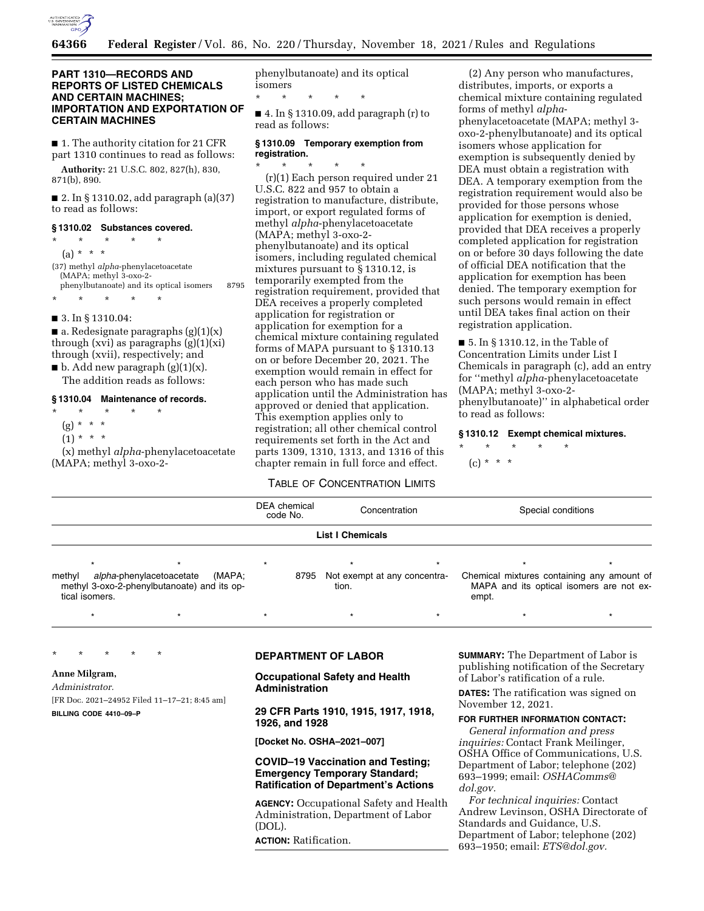

\* \* \* \* \*

# **PART 1310—RECORDS AND REPORTS OF LISTED CHEMICALS AND CERTAIN MACHINES; IMPORTATION AND EXPORTATION OF CERTAIN MACHINES**

■ 1. The authority citation for 21 CFR part 1310 continues to read as follows:

**Authority:** 21 U.S.C. 802, 827(h), 830, 871(b), 890.

■ 2. In § 1310.02, add paragraph (a)(37) to read as follows:

### **§ 1310.02 Substances covered.**

- \* \* \* \* \* (a) \* \* \* (37) methyl *alpha*-phenylacetoacetate (MAPA; methyl 3-oxo-2 phenylbutanoate) and its optical isomers 8795
- 3. In § 1310.04:

\* \* \* \* \*

 $\blacksquare$  a. Redesignate paragraphs (g)(1)(x) through (xvi) as paragraphs  $(g)(1)(xi)$ through (xvii), respectively; and

 $\blacksquare$  b. Add new paragraph (g)(1)(x). The addition reads as follows:

## **§ 1310.04 Maintenance of records.**

- \* \* \* \* \*
- $(g) * * * *$
- $(1) * * * *$

(x) methyl *alpha*-phenylacetoacetate (MAPA; methyl 3-oxo-2phenylbutanoate) and its optical isomers

■ 4. In § 1310.09, add paragraph (r) to read as follows:

### **§ 1310.09 Temporary exemption from registration.**

\* \* \* \* \* (r)(1) Each person required under 21 U.S.C. 822 and 957 to obtain a registration to manufacture, distribute, import, or export regulated forms of methyl *alpha*-phenylacetoacetate (MAPA; methyl 3-oxo-2 phenylbutanoate) and its optical isomers, including regulated chemical mixtures pursuant to § 1310.12, is temporarily exempted from the registration requirement, provided that DEA receives a properly completed application for registration or application for exemption for a chemical mixture containing regulated forms of MAPA pursuant to § 1310.13 on or before December 20, 2021. The exemption would remain in effect for each person who has made such application until the Administration has approved or denied that application. This exemption applies only to registration; all other chemical control requirements set forth in the Act and parts 1309, 1310, 1313, and 1316 of this chapter remain in full force and effect.

(2) Any person who manufactures, distributes, imports, or exports a chemical mixture containing regulated forms of methyl *alpha*phenylacetoacetate (MAPA; methyl 3 oxo-2-phenylbutanoate) and its optical isomers whose application for exemption is subsequently denied by DEA must obtain a registration with DEA. A temporary exemption from the registration requirement would also be provided for those persons whose application for exemption is denied, provided that DEA receives a properly completed application for registration on or before 30 days following the date of official DEA notification that the application for exemption has been denied. The temporary exemption for such persons would remain in effect until DEA takes final action on their registration application.

■ 5. In § 1310.12, in the Table of Concentration Limits under List I Chemicals in paragraph (c), add an entry for ''methyl *alpha*-phenylacetoacetate (MAPA; methyl 3-oxo-2 phenylbutanoate)'' in alphabetical order to read as follows:

#### **§ 1310.12 Exempt chemical mixtures.**

\* \* \* \* \*  $(c) * * * *$ 

# TABLE OF CONCENTRATION LIMITS

|                                                                                                               | <b>DEA</b> chemical<br>code No. |         | Concentration                              |  | Special conditions                                                                              |  |
|---------------------------------------------------------------------------------------------------------------|---------------------------------|---------|--------------------------------------------|--|-------------------------------------------------------------------------------------------------|--|
| <b>List I Chemicals</b>                                                                                       |                                 |         |                                            |  |                                                                                                 |  |
|                                                                                                               |                                 | $\star$ |                                            |  |                                                                                                 |  |
| alpha-phenylacetoacetate<br>(MAPA:<br>methyl<br>methyl 3-oxo-2-phenylbutanoate) and its op-<br>tical isomers. |                                 |         | 8795 Not exempt at any concentra-<br>tion. |  | Chemical mixtures containing any amount of<br>MAPA and its optical isomers are not ex-<br>empt. |  |

\*\*\*\*\*\*\*

## \* \* \* \* \*

**Anne Milgram,** 

*Administrator.*  [FR Doc. 2021–24952 Filed 11–17–21; 8:45 am] **BILLING CODE 4410–09–P** 

# **DEPARTMENT OF LABOR**

**Occupational Safety and Health Administration** 

**29 CFR Parts 1910, 1915, 1917, 1918, 1926, and 1928** 

**[Docket No. OSHA–2021–007]** 

## **COVID–19 Vaccination and Testing; Emergency Temporary Standard; Ratification of Department's Actions**

**AGENCY:** Occupational Safety and Health Administration, Department of Labor (DOL). **ACTION:** Ratification.

**SUMMARY:** The Department of Labor is publishing notification of the Secretary of Labor's ratification of a rule.

**DATES:** The ratification was signed on November 12, 2021.

## **FOR FURTHER INFORMATION CONTACT:**

*General information and press inquiries:* Contact Frank Meilinger, OSHA Office of Communications, U.S. Department of Labor; telephone (202) 693–1999; email: *[OSHAComms@](mailto:OSHAComms@dol.gov) [dol.gov.](mailto:OSHAComms@dol.gov)* 

*For technical inquiries:* Contact Andrew Levinson, OSHA Directorate of Standards and Guidance, U.S. Department of Labor; telephone (202) 693–1950; email: *[ETS@dol.gov.](mailto:ETS@dol.gov)*